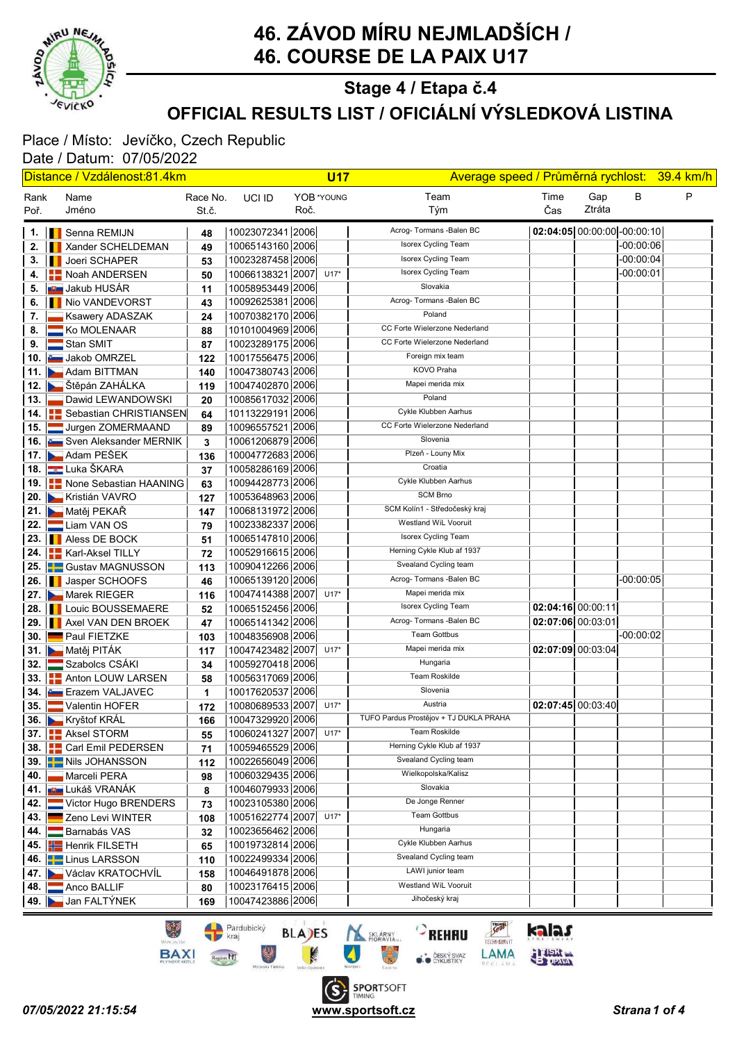

### OFFICIAL RESULTS LIST / OFICIÁLNÍ VÝSLEDKOVÁ LISTINA Stage 4 / Etapa č.4

# Place / Místo: Jevíčko, Czech Republic

| <u> Distance / Vzdálenost:81.4km</u> |  |                                            |                   |                                      |      | <b>U17</b> | Average speed / Průměrná rychlost: 39.4 km/h |                   |                             |             |   |
|--------------------------------------|--|--------------------------------------------|-------------------|--------------------------------------|------|------------|----------------------------------------------|-------------------|-----------------------------|-------------|---|
| Rank<br>Poř.                         |  | Name<br>Jméno                              | Race No.<br>St.č. | UCI ID                               | Roč. | YOB *YOUNG | Team<br>Tým                                  | Time<br>Čas       | Gap<br>Ztráta               | B           | P |
|                                      |  | 1.   Senna REMIJN                          | 48                | 10023072341 2006                     |      |            | Acrog- Tormans - Balen BC                    |                   | 02:04:05 00:00:00 -00:00:10 |             |   |
| 2.                                   |  | Xander SCHELDEMAN                          | 49                | 10065143160 2006                     |      |            | Isorex Cycling Team                          |                   |                             | $-00:00:06$ |   |
| З.                                   |  | Joeri SCHAPER                              | 53                | 10023287458 2006                     |      |            | <b>Isorex Cycling Team</b>                   |                   |                             | $-00:00:04$ |   |
| 4.                                   |  | Noah ANDERSEN                              | 50                | 10066138321 2007                     |      | $U17*$     | Isorex Cycling Team                          |                   |                             | $-00:00:01$ |   |
| 5.                                   |  | <mark>∎⊎∎</mark> Jakub HUSÁR               | 11                | 10058953449 2006                     |      |            | Slovakia                                     |                   |                             |             |   |
| 6.                                   |  | Nio VANDEVORST                             | 43                | 10092625381 2006                     |      |            | Acrog- Tormans - Balen BC                    |                   |                             |             |   |
| 7.                                   |  | Ksawery ADASZAK                            | 24                | 10070382170 2006                     |      |            | Poland                                       |                   |                             |             |   |
| 8.                                   |  | Ko MOLENAAR                                | 88                | 10101004969 2006                     |      |            | CC Forte Wielerzone Nederland                |                   |                             |             |   |
| 9.                                   |  | Stan SMIT                                  | 87                | 10023289175 2006                     |      |            | CC Forte Wielerzone Nederland                |                   |                             |             |   |
|                                      |  | 10. Jakob OMRZEL                           | 122               | 10017556475 2006                     |      |            | Foreign mix team                             |                   |                             |             |   |
|                                      |  | 11. Adam BITTMAN                           | 140               | 10047380743 2006                     |      |            | KOVO Praha                                   |                   |                             |             |   |
|                                      |  | 12. <b>→</b> Štěpán ZAHÁLKA                | 119               | 10047402870 2006                     |      |            | Mapei merida mix                             |                   |                             |             |   |
|                                      |  | 13. Dawid LEWANDOWSKI                      | 20                | 10085617032 2006                     |      |            | Poland                                       |                   |                             |             |   |
|                                      |  | 14.   Sebastian CHRISTIANSEN               | 64                | 10113229191 2006                     |      |            | Cykle Klubben Aarhus                         |                   |                             |             |   |
|                                      |  | 15. Jurgen ZOMERMAAND                      | 89                | 10096557521 2006                     |      |            | CC Forte Wielerzone Nederland                |                   |                             |             |   |
|                                      |  | 16. Sven Aleksander MERNIK                 | 3                 | 10061206879 2006                     |      |            | Slovenia                                     |                   |                             |             |   |
|                                      |  | 17. Adam PEŠEK                             | 136               | 10004772683 2006                     |      |            | Plzeň - Louny Mix                            |                   |                             |             |   |
|                                      |  | 18. Luka ŠKARA                             | 37                | 10058286169 2006                     |      |            | Croatia                                      |                   |                             |             |   |
|                                      |  | <b>19. None Sebastian HAANING</b>          | 63                | 10094428773 2006                     |      |            | Cykle Klubben Aarhus                         |                   |                             |             |   |
|                                      |  | 20. Kristián VAVRO                         | 127               | 10053648963 2006                     |      |            | <b>SCM Brno</b>                              |                   |                             |             |   |
|                                      |  | 21. Matěj PEKAŘ                            | 147               | 10068131972 2006                     |      |            | SCM Kolín1 - Středočeský kraj                |                   |                             |             |   |
|                                      |  | 22. Liam VAN OS                            | 79                | 10023382337 2006                     |      |            | Westland WiL Vooruit                         |                   |                             |             |   |
|                                      |  | 23. <b>Aless DE BOCK</b>                   | 51                | 10065147810 2006                     |      |            | Isorex Cycling Team                          |                   |                             |             |   |
|                                      |  | 24.   Karl-Aksel TILLY                     | 72                | 10052916615 2006                     |      |            | Herning Cykle Klub af 1937                   |                   |                             |             |   |
|                                      |  | 25. <b>B.</b> Gustav MAGNUSSON             | 113               | 10090412266 2006                     |      |            | Svealand Cycling team                        |                   |                             |             |   |
|                                      |  | 26. Jasper SCHOOFS                         | 46                | 10065139120 2006                     |      |            | Acrog- Tormans - Balen BC                    |                   |                             | $-00:00:05$ |   |
|                                      |  | 27. Marek RIEGER                           | 116               | 10047414388 2007                     |      | $U17*$     | Mapei merida mix                             |                   |                             |             |   |
|                                      |  | 28.   Louic BOUSSEMAERE                    | 52                | 10065152456 2006                     |      |            | Isorex Cycling Team                          | 02:04:16 00:00:11 |                             |             |   |
|                                      |  | 29. <b>I</b> Axel VAN DEN BROEK            | 47                | 10065141342 2006                     |      |            | Acrog- Tormans - Balen BC                    | 02:07:06 00:03:01 |                             |             |   |
|                                      |  | 30. Paul FIETZKE                           | 103               | 10048356908 2006                     |      |            | <b>Team Gottbus</b>                          |                   |                             | $-00:00:02$ |   |
|                                      |  | 31. Matěj PITÁK                            | 117               | 10047423482 2007                     |      | $U17*$     | Mapei merida mix<br>Hungaria                 |                   | 02:07:09 00:03:04           |             |   |
|                                      |  | 32. Szabolcs CSÁKI                         | 34                | 10059270418 2006                     |      |            | <b>Team Roskilde</b>                         |                   |                             |             |   |
|                                      |  | 33. <b>Bullet Anton LOUW LARSEN</b>        | 58                | 10056317069 2006                     |      |            | Slovenia                                     |                   |                             |             |   |
|                                      |  | 34. Erazem VALJAVEC                        | 1                 | 10017620537 2006                     |      |            | Austria                                      |                   | 02:07:45 00:03:40           |             |   |
| 35.                                  |  | Valentin HOFER                             | 172               | 10080689533 2007<br>10047329920 2006 |      | $U17*$     | TUFO Pardus Prostějov + TJ DUKLA PRAHA       |                   |                             |             |   |
|                                      |  | 36. Kryštof KRÁL<br>37. <b>Aksel STORM</b> | 166               | 10060241327 2007                     |      | $U17*$     | Team Roskilde                                |                   |                             |             |   |
|                                      |  | 38. <b>Carl Emil PEDERSEN</b>              | 55<br>71          | 10059465529 2006                     |      |            | Herning Cykle Klub af 1937                   |                   |                             |             |   |
|                                      |  | 39. <b>Nis JOHANSSON</b>                   |                   | 10022656049 2006                     |      |            | Svealand Cycling team                        |                   |                             |             |   |
| 40.                                  |  | Marceli PERA                               | 112<br>98         | 10060329435 2006                     |      |            | Wielkopolska/Kalisz                          |                   |                             |             |   |
|                                      |  | 41. <b>JU L</b> ukáš VRANÁK                | 8                 | 10046079933 2006                     |      |            | Slovakia                                     |                   |                             |             |   |
|                                      |  | 42. Victor Hugo BRENDERS                   | 73                | 10023105380 2006                     |      |            | De Jonge Renner                              |                   |                             |             |   |
| 43.                                  |  | Zeno Levi WINTER                           | 108               | 10051622774 2007                     |      | $U17*$     | <b>Team Gottbus</b>                          |                   |                             |             |   |
| 44.                                  |  | Barnabás VAS                               | 32                | 10023656462 2006                     |      |            | Hungaria                                     |                   |                             |             |   |
|                                      |  | 45. <b>HE</b> Henrik FILSETH               | 65                | 10019732814 2006                     |      |            | Cykle Klubben Aarhus                         |                   |                             |             |   |
|                                      |  | 46. <b>Exercise LARSSON</b>                | 110               | 10022499334 2006                     |      |            | Svealand Cycling team                        |                   |                             |             |   |
|                                      |  | 47. Václav KRATOCHVÍL                      | 158               | 10046491878 2006                     |      |            | LAWI junior team                             |                   |                             |             |   |
|                                      |  | 48. Anco BALLIF                            | 80                | 10023176415 2006                     |      |            | Westland WiL Vooruit                         |                   |                             |             |   |
|                                      |  | 49. Jan FALTÝNEK                           | 169               | 10047423886 2006                     |      |            | Jihočeský kraj                               |                   |                             |             |   |

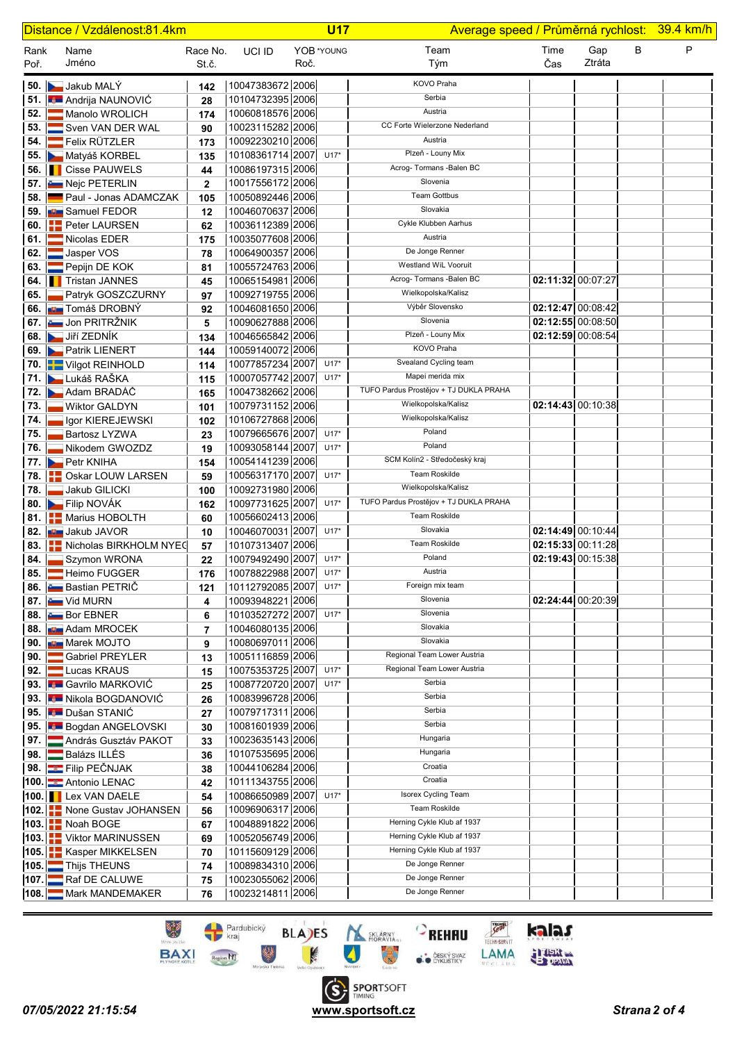| Distance / Vzdálenost:81.4km |  |                                                               |                   |                                           |      | <b>U17</b> |                                        | Average speed / Průměrná rychlost: 39.4 km/h |               |   |   |
|------------------------------|--|---------------------------------------------------------------|-------------------|-------------------------------------------|------|------------|----------------------------------------|----------------------------------------------|---------------|---|---|
| Rank<br>Poř.                 |  | Name<br>Jméno                                                 | Race No.<br>St.č. | UCI ID                                    | Roč. | YOB *YOUNG | Team<br>Tým                            | Time<br>Čas                                  | Gap<br>Ztráta | В | P |
|                              |  | 50. Jakub MALÝ                                                | 142               | 10047383672 2006                          |      |            | KOVO Praha                             |                                              |               |   |   |
|                              |  | 51. <b>Andrija NAUNOVIĆ</b>                                   | 28                | 10104732395 2006                          |      |            | Serbia                                 |                                              |               |   |   |
| 52.1                         |  | Manolo WROLICH                                                | 174               | 10060818576 2006                          |      |            | Austria                                |                                              |               |   |   |
| 53.1                         |  | Sven VAN DER WAL                                              | 90                | 10023115282 2006                          |      |            | CC Forte Wielerzone Nederland          |                                              |               |   |   |
|                              |  | 54. <b>Felix RÜTZLER</b>                                      | 173               | 10092230210 2006                          |      |            | Austria                                |                                              |               |   |   |
|                              |  | 55. Matyáš KORBEL                                             | 135               | 10108361714 2007                          |      | $U17*$     | Plzeň - Louny Mix                      |                                              |               |   |   |
|                              |  | <b>56.</b> Cisse PAUWELS                                      | 44                | 10086197315 2006                          |      |            | Acrog- Tormans - Balen BC              |                                              |               |   |   |
|                              |  | 57. <b>Em</b> Nejc PETERLIN                                   | $\mathbf{2}$      | 10017556172 2006                          |      |            | Slovenia                               |                                              |               |   |   |
|                              |  | 58. Paul - Jonas ADAMCZAK                                     | 105               | 10050892446 2006                          |      |            | <b>Team Gottbus</b>                    |                                              |               |   |   |
|                              |  | 59. <b>July</b> Samuel FEDOR                                  | 12                | 10046070637 2006                          |      |            | Slovakia                               |                                              |               |   |   |
|                              |  | 60. <b>PED PERSET PERSEN</b>                                  | 62                | 10036112389 2006                          |      |            | Cykle Klubben Aarhus                   |                                              |               |   |   |
| 61.1                         |  | Nicolas EDER                                                  | 175               | 10035077608 2006                          |      |            | Austria                                |                                              |               |   |   |
|                              |  | 62. Jasper VOS                                                | 78                | 10064900357 2006                          |      |            | De Jonge Renner                        |                                              |               |   |   |
|                              |  | 63. Pepijn DE KOK                                             | 81                | 10055724763 2006                          |      |            | Westland WiL Vooruit                   |                                              |               |   |   |
|                              |  | 64. Tristan JANNES                                            | 45                | 10065154981 2006                          |      |            | Acrog- Tormans - Balen BC              | 02:11:32 00:07:27                            |               |   |   |
|                              |  | 65. Patryk GOSZCZURNY                                         | 97                | 10092719755 2006                          |      |            | Wielkopolska/Kalisz                    |                                              |               |   |   |
|                              |  | 66. <b>JUN</b> Tomáš DROBNÝ                                   | 92                | 10046081650 2006                          |      |            | Výběr Slovensko                        | 02:12:47 00:08:42                            |               |   |   |
|                              |  | 67. <b>E Jon PRITRŽNIK</b>                                    | 5                 | 10090627888 2006                          |      |            | Slovenia                               | $02:12:55$ 00:08:50                          |               |   |   |
|                              |  | 68. Jiří ZEDNÍK                                               | 134               | 10046565842 2006                          |      |            | Plzeň - Louny Mix                      | 02:12:59 00:08:54                            |               |   |   |
|                              |  | 69. Patrik LIENERT                                            | 144               | 10059140072 2006                          |      |            | KOVO Praha                             |                                              |               |   |   |
|                              |  | 70. <b>WE Vilgot REINHOLD</b>                                 | 114               | 10077857234 2007                          |      | $U17*$     | Svealand Cycling team                  |                                              |               |   |   |
|                              |  | 71. Lukáš RAŠKA                                               | 115               | 10007057742 2007                          |      | $U17*$     | Mapei merida mix                       |                                              |               |   |   |
|                              |  | 72. Adam BRADÁČ                                               | 165               | 10047382662 2006                          |      |            | TUFO Pardus Prostějov + TJ DUKLA PRAHA |                                              |               |   |   |
| 73. II                       |  | Wiktor GALDYN                                                 | 101               | 10079731152 2006                          |      |            | Wielkopolska/Kalisz                    | 02:14:43 00:10:38                            |               |   |   |
| 74.                          |  | Igor KIEREJEWSKI                                              | 102               | 10106727868 2006                          |      |            | Wielkopolska/Kalisz                    |                                              |               |   |   |
| 75.                          |  | Bartosz LYZWA                                                 | 23                | 10079665676 2007                          |      | $U17*$     | Poland                                 |                                              |               |   |   |
| 76. I                        |  | Nikodem GWOZDZ                                                | 19                | 10093058144 2007                          |      | $U17*$     | Poland                                 |                                              |               |   |   |
|                              |  | 77. Petr KNIHA                                                | 154               | 10054141239 2006                          |      |            | SCM Kolín2 - Středočeský kraj          |                                              |               |   |   |
|                              |  | 78. <b>BED</b> Oskar LOUW LARSEN                              | 59                | 10056317170 2007                          |      | $U17*$     | Team Roskilde                          |                                              |               |   |   |
| 78. I                        |  | Jakub GILICKI                                                 | 100               | 10092731980 2006                          |      |            | Wielkopolska/Kalisz                    |                                              |               |   |   |
|                              |  | 80. Filip NOVÁK                                               | 162               | 10097731625 2007                          |      | $U17*$     | TUFO Pardus Prostějov + TJ DUKLA PRAHA |                                              |               |   |   |
|                              |  | 81. <b>H.</b> Marius HOBOLTH                                  | 60                | 10056602413 2006                          |      |            | <b>Team Roskilde</b>                   |                                              |               |   |   |
|                              |  | 82. U Jakub JAVOR                                             | 10                | 10046070031 2007                          |      | $U17*$     | Slovakia                               | 02:14:49 00:10:44                            |               |   |   |
|                              |  | 83. <b>THE Nicholas BIRKHOLM NYEC</b>                         | 57                | 10107313407 2006                          |      |            | Team Roskilde<br>Poland                | 02:15:33 00:11:28                            |               |   |   |
| 84. I                        |  | Szymon WRONA                                                  | 22                | 10079492490 2007                          |      | $U17*$     | Austria                                | 02:19:43 00:15:38                            |               |   |   |
|                              |  | 85. <b>External Heimo FUGGER</b><br>86. <b>Bastian PETRIC</b> | 176               | 10078822988 2007 U17*<br>10112792085 2007 |      | $U17*$     | Foreign mix team                       |                                              |               |   |   |
|                              |  | <b>87. E.</b> Vid MURN                                        | 121               | 10093948221 2006                          |      |            | Slovenia                               | 02:24:44 00:20:39                            |               |   |   |
|                              |  | 88. Bor EBNER                                                 | 4                 | 10103527272 2007                          |      | $U17*$     | Slovenia                               |                                              |               |   |   |
|                              |  | 88. <b>By Adam MROCEK</b>                                     | 6                 | 10046080135 2006                          |      |            | Slovakia                               |                                              |               |   |   |
|                              |  | 90. <b>But</b> Marek MOJTO                                    | 7<br>9            | 10080697011 2006                          |      |            | Slovakia                               |                                              |               |   |   |
|                              |  | <b>90.</b> Gabriel PREYLER                                    | 13                | 10051116859 2006                          |      |            | Regional Team Lower Austria            |                                              |               |   |   |
|                              |  | 92. Lucas KRAUS                                               | 15                | 10075353725 2007 U17*                     |      |            | Regional Team Lower Austria            |                                              |               |   |   |
|                              |  | 93. Gavrilo MARKOVIĆ                                          | 25                | 10087720720 2007                          |      | $U17*$     | Serbia                                 |                                              |               |   |   |
|                              |  | 93. <b>E Nikola BOGDANOVIĆ</b>                                | 26                | 10083996728 2006                          |      |            | Serbia                                 |                                              |               |   |   |
|                              |  | 95. Dušan STANIĆ                                              | 27                | 10079717311 2006                          |      |            | Serbia                                 |                                              |               |   |   |
|                              |  | 95. Bogdan ANGELOVSKI                                         | 30                | 10081601939 2006                          |      |            | Serbia                                 |                                              |               |   |   |
|                              |  | 97. <b>András Gusztáv PAKOT</b>                               | 33                | 10023635143 2006                          |      |            | Hungaria                               |                                              |               |   |   |
|                              |  | 98. Balázs ILLÉS                                              | 36                | 10107535695 2006                          |      |            | Hungaria                               |                                              |               |   |   |
|                              |  | 98. <b>Example PECNJAK</b>                                    | 38                | 10044106284 2006                          |      |            | Croatia                                |                                              |               |   |   |
|                              |  | 100. Antonio LENAC                                            | 42                | 10111343755 2006                          |      |            | Croatia                                |                                              |               |   |   |
|                              |  | 100. <b>I</b> Lex VAN DAELE                                   | 54                | 10086650989 2007                          |      | $U17*$     | Isorex Cycling Team                    |                                              |               |   |   |
|                              |  | 102. <b>None Gustav JOHANSEN</b>                              | 56                | 10096906317 2006                          |      |            | Team Roskilde                          |                                              |               |   |   |
|                              |  | 103. Noah BOGE                                                | 67                | 10048891822 2006                          |      |            | Herning Cykle Klub af 1937             |                                              |               |   |   |
|                              |  | 103. Viktor MARINUSSEN                                        | 69                | 10052056749 2006                          |      |            | Herning Cykle Klub af 1937             |                                              |               |   |   |
|                              |  | 105. EKasper MIKKELSEN                                        | 70                | 10115609129 2006                          |      |            | Herning Cykle Klub af 1937             |                                              |               |   |   |
|                              |  | 105. Thijs THEUNS                                             | 74                | 10089834310 2006                          |      |            | De Jonge Renner                        |                                              |               |   |   |
|                              |  | 107. Raf DE CALUWE                                            | 75                | 10023055062 2006                          |      |            | De Jonge Renner                        |                                              |               |   |   |
|                              |  | 108. Mark MANDEMAKER                                          | 76                | 10023214811 2006                          |      |            | De Jonge Renner                        |                                              |               |   |   |

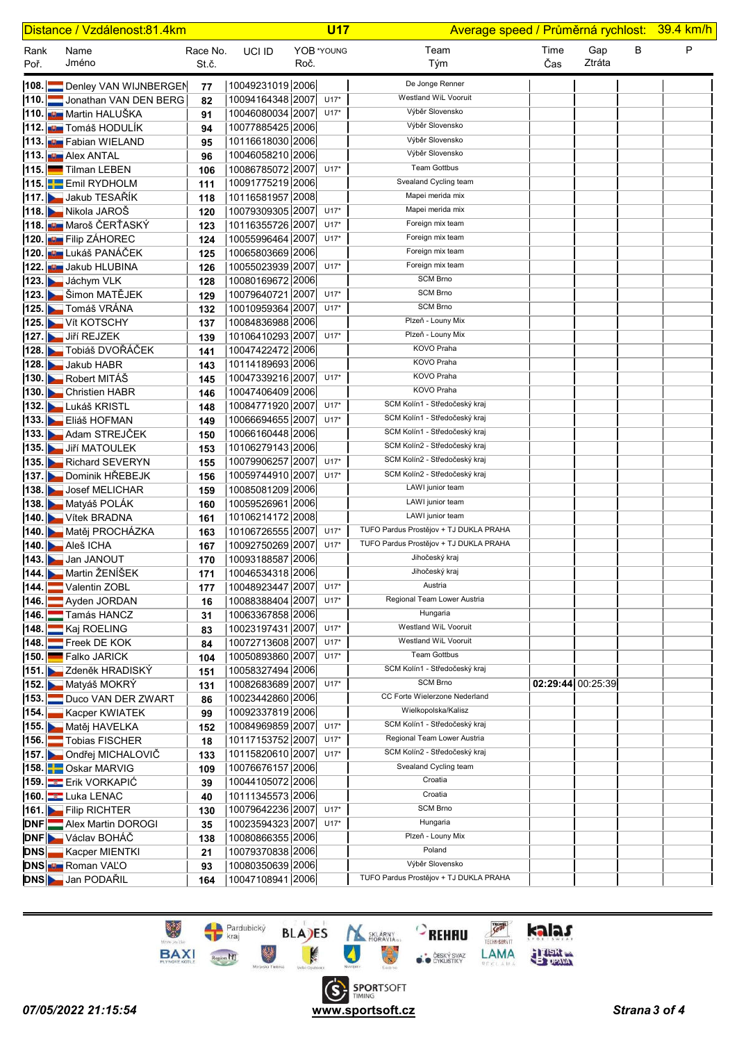| Distance / Vzdálenost:81.4km |                                                      |                   |                                      |      | <b>U17</b>       |                                                                |                   | Average speed / Průměrná rychlost: 39.4 km/h |   |   |
|------------------------------|------------------------------------------------------|-------------------|--------------------------------------|------|------------------|----------------------------------------------------------------|-------------------|----------------------------------------------|---|---|
| Rank<br>Poř.                 | Name<br>Jméno                                        | Race No.<br>St.č. | UCI ID                               | Roč. | YOB *YOUNG       | Team<br>Tým                                                    | Time<br>Čas       | Gap<br>Ztráta                                | B | P |
|                              | 108. Denley VAN WIJNBERGEN                           | 77                | 10049231019 2006                     |      |                  | De Jonge Renner                                                |                   |                                              |   |   |
|                              | 110. Jonathan VAN DEN BERG                           | 82                | 10094164348 2007                     |      | $U17*$           | Westland WiL Vooruit                                           |                   |                                              |   |   |
|                              | 110. <b>Juli</b> Martin HALUŠKA                      | 91                | 10046080034 2007                     |      | $U17*$           | Výběr Slovensko                                                |                   |                                              |   |   |
|                              | 112. <b>JU Tomáš HODULÍK</b>                         | 94                | 10077885425 2006                     |      |                  | Výběr Slovensko                                                |                   |                                              |   |   |
|                              | 113. <b>Bur</b> Fabian WIELAND                       | 95                | 10116618030 2006                     |      |                  | Výběr Slovensko                                                |                   |                                              |   |   |
|                              | 113. <b>De</b> Alex ANTAL                            | 96                | 10046058210 2006                     |      |                  | Výběr Slovensko                                                |                   |                                              |   |   |
|                              | 115. Tilman LEBEN                                    | 106               | 10086785072 2007                     |      | $U17*$           | <b>Team Gottbus</b>                                            |                   |                                              |   |   |
|                              | 115. Emil RYDHOLM                                    | 111               | 10091775219 2006                     |      |                  | Svealand Cycling team                                          |                   |                                              |   |   |
|                              | 117. Jakub TESAŘÍK                                   | 118               | 10116581957 2008                     |      |                  | Mapei merida mix                                               |                   |                                              |   |   |
|                              | 118. Nikola JAROŠ                                    | 120               | 10079309305 2007                     |      | $U17*$           | Mapei merida mix                                               |                   |                                              |   |   |
|                              | 118. <b>  ⊌ Maroš ČERŤASKÝ</b>                       | 123               | 10116355726 2007                     |      | $U17*$           | Foreign mix team                                               |                   |                                              |   |   |
|                              | 120. <b>Bur</b> Filip ZÁHOREC                        | 124               | 10055996464 2007                     |      | $U17*$           | Foreign mix team                                               |                   |                                              |   |   |
|                              | <b>120. µ∪ L</b> ukáš PANÁČEK                        | 125               | 10065803669 2006                     |      |                  | Foreign mix team                                               |                   |                                              |   |   |
|                              | 122. Jakub HLUBINA                                   | 126               | 10055023939 2007                     |      | $U17*$           | Foreign mix team                                               |                   |                                              |   |   |
|                              | 123. Jáchym VLK                                      | 128               | 10080169672 2006                     |      |                  | <b>SCM Brno</b>                                                |                   |                                              |   |   |
|                              | 123. Des Šimon MATĚJEK                               | 129               | 10079640721 2007                     |      | $U17*$           | <b>SCM Brno</b>                                                |                   |                                              |   |   |
|                              | 125. Tomáš VRÁNA                                     | 132               | 10010959364 2007                     |      | $U17*$           | <b>SCM Brno</b>                                                |                   |                                              |   |   |
|                              | 125. Vít KOTSCHY                                     | 137               | 10084836988 2006                     |      |                  | Plzeň - Louny Mix                                              |                   |                                              |   |   |
|                              | 127. Jiří REJZEK                                     | 139               | 10106410293 2007                     |      | $U17*$           | Plzeň - Louny Mix                                              |                   |                                              |   |   |
|                              | 128. Tobiáš DVOŘÁČEK                                 | 141               | 10047422472 2006                     |      |                  | KOVO Praha                                                     |                   |                                              |   |   |
|                              | 128. Jakub HABR                                      | 143               | 10114189693 2006                     |      |                  | KOVO Praha                                                     |                   |                                              |   |   |
|                              | 130. Robert MITÁŠ                                    | 145               | 10047339216 2007                     |      | $U17*$           | KOVO Praha                                                     |                   |                                              |   |   |
|                              | 130. Christien HABR                                  | 146               | 10047406409 2006                     |      |                  | KOVO Praha                                                     |                   |                                              |   |   |
|                              | 132. Lukáš KRISTL                                    | 148               | 10084771920 2007                     |      | $U17*$           | SCM Kolín1 - Středočeský kraj                                  |                   |                                              |   |   |
|                              | 133. Eliáš HOFMAN                                    | 149               | 10066694655 2007                     |      | $U17*$           | SCM Kolín1 - Středočeský kraj                                  |                   |                                              |   |   |
|                              | 133. Adam STREJČEK                                   | 150               | 10066160448 2006                     |      |                  | SCM Kolín1 - Středočeský kraj                                  |                   |                                              |   |   |
|                              | 135. Jiří MATOULEK                                   | 153               | 10106279143 2006                     |      |                  | SCM Kolín2 - Středočeský kraj<br>SCM Kolín2 - Středočeský kraj |                   |                                              |   |   |
|                              | 135. Richard SEVERYN                                 | 155               | 10079906257 2007                     |      | $U17*$<br>$U17*$ | SCM Kolín2 - Středočeský kraj                                  |                   |                                              |   |   |
|                              | 137. Dominik HŘEBEJK                                 | 156               | 10059744910 2007                     |      |                  | LAWI junior team                                               |                   |                                              |   |   |
|                              | 138. Josef MELICHAR                                  | 159               | 10085081209 2006<br>10059526961 2006 |      |                  | LAWI junior team                                               |                   |                                              |   |   |
|                              | 138. Matyáš POLÁK<br>140. Vítek BRADNA               | 160               | 10106214172 2008                     |      |                  | LAWI junior team                                               |                   |                                              |   |   |
|                              | 140. Matěj PROCHÁZKA                                 | 161<br>163        | 10106726555 2007                     |      | $U17*$           | TUFO Pardus Prostějov + TJ DUKLA PRAHA                         |                   |                                              |   |   |
|                              | <b>140. Aleš ICHA</b>                                | 167               | 10092750269 2007                     |      | $U17*$           | TUFO Pardus Prostějov + TJ DUKLA PRAHA                         |                   |                                              |   |   |
|                              | 143. Jan JANOUT                                      | 170               | 10093188587 2006                     |      |                  | Jihočeský kraj                                                 |                   |                                              |   |   |
|                              | 144. Martin ŽENÍŠEK                                  | 171               | 10046534318 2006                     |      |                  | Jihočeský kraj                                                 |                   |                                              |   |   |
|                              | 144. Valentin ZOBL                                   | 177               | 10048923447 2007                     |      | $U17*$           | Austria                                                        |                   |                                              |   |   |
|                              | 146. Ayden JORDAN                                    | 16                | 10088388404 2007                     |      | $U17*$           | Regional Team Lower Austria                                    |                   |                                              |   |   |
|                              | 146. Tamás HANCZ                                     | 31                | 10063367858 2006                     |      |                  | Hungaria                                                       |                   |                                              |   |   |
|                              | 148. Kaj ROELING                                     | 83                | 10023197431 2007                     |      | $U17*$           | Westland WiL Vooruit                                           |                   |                                              |   |   |
|                              | 148. Freek DE KOK                                    | 84                | 10072713608 2007                     |      | $U17*$           | Westland WiL Vooruit                                           |                   |                                              |   |   |
|                              | 150. <b>Exercise SET 150.</b> Falko JARICK           | 104               | 10050893860 2007                     |      | $U17*$           | <b>Team Gottbus</b>                                            |                   |                                              |   |   |
|                              | 151. Zdeněk HRADISKÝ                                 | 151               | 10058327494 2006                     |      |                  | SCM Kolín1 - Středočeský kraj                                  |                   |                                              |   |   |
|                              | 152. Matyáš MOKRÝ                                    | 131               | 10082683689 2007                     |      | $U17*$           | <b>SCM Brno</b>                                                | 02:29:44 00:25:39 |                                              |   |   |
|                              | 153. Duco VAN DER ZWART                              | 86                | 10023442860 2006                     |      |                  | CC Forte Wielerzone Nederland                                  |                   |                                              |   |   |
| 154.                         | Kacper KWIATEK                                       | 99                | 10092337819 2006                     |      |                  | Wielkopolska/Kalisz                                            |                   |                                              |   |   |
|                              | 155. Matěj HAVELKA                                   | 152               | 10084969859 2007                     |      | $U17*$           | SCM Kolín1 - Středočeský kraj                                  |                   |                                              |   |   |
|                              | 156. Tobias FISCHER                                  | 18                | 10117153752 2007                     |      | $U17*$           | Regional Team Lower Austria                                    |                   |                                              |   |   |
|                              | 157. De Ondřej MICHALOVIČ                            | 133               | 10115820610 2007                     |      | $U17*$           | SCM Kolín2 - Středočeský kraj                                  |                   |                                              |   |   |
|                              | 158. Oskar MARVIG                                    | 109               | 10076676157 2006                     |      |                  | Svealand Cycling team<br>Croatia                               |                   |                                              |   |   |
|                              | <b>159. Erik VORKAPIC</b>                            | 39                | 10044105072 2006                     |      |                  | Croatia                                                        |                   |                                              |   |   |
|                              | 160. Luka LENAC                                      | 40                | 10111345573 2006                     |      |                  | <b>SCM Brno</b>                                                |                   |                                              |   |   |
|                              | 161. Filip RICHTER                                   | 130               | 10079642236 2007                     |      | $U17*$           | Hungaria                                                       |                   |                                              |   |   |
|                              | <b>DNF</b> Alex Martin DOROGI                        | 35                | 10023594323 2007                     |      | $U17*$           | Plzeň - Louny Mix                                              |                   |                                              |   |   |
|                              | <b>DNF</b> Václav BOHÁČ<br><b>DNS</b> Kacper MIENTKI | 138               | 10080866355 2006<br>10079370838 2006 |      |                  | Poland                                                         |                   |                                              |   |   |
|                              | <b>DNS Em</b> Roman VALO                             | 21<br>93          | 10080350639 2006                     |      |                  | Výběr Slovensko                                                |                   |                                              |   |   |
|                              | <b>DNS</b> Jan PODAŘIL                               | 164               | 10047108941 2006                     |      |                  | TUFO Pardus Prostějov + TJ DUKLA PRAHA                         |                   |                                              |   |   |
|                              |                                                      |                   |                                      |      |                  |                                                                |                   |                                              |   |   |

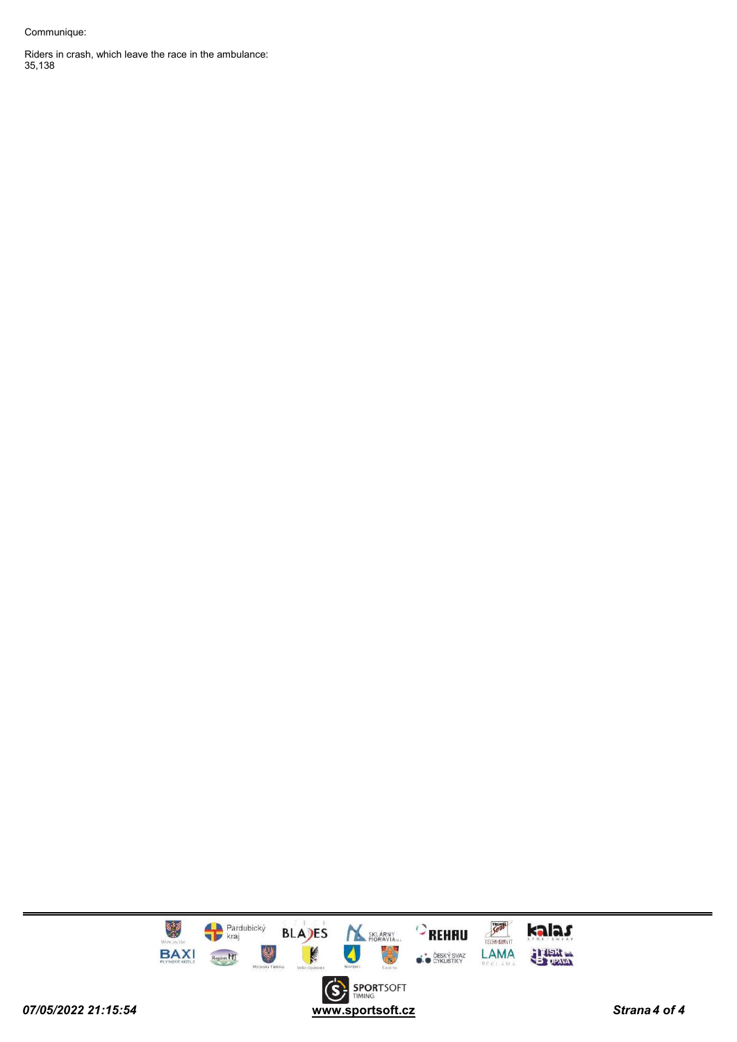#### Communique:

Riders in crash, which leave the race in the ambulance: 35,138

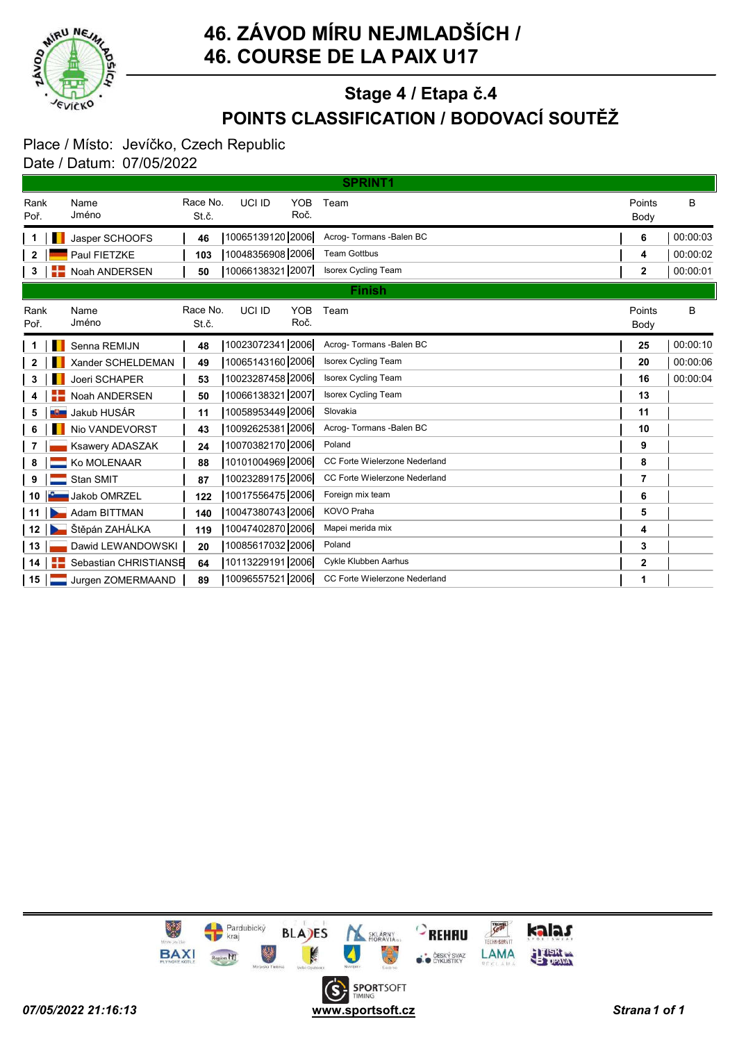

# POINTS CLASSIFICATION / BODOVACÍ SOUTĚŽ Stage 4 / Etapa č.4

#### Place / Místo: Jevíčko, Czech Republic Date / Datum: 07/05/2022

| <b>SPRINT1</b> |  |                       |                   |                  |                    |                               |                |          |  |  |
|----------------|--|-----------------------|-------------------|------------------|--------------------|-------------------------------|----------------|----------|--|--|
| Rank<br>Poř.   |  | Name<br>Jméno         | Race No.<br>St.č. | UCI ID           | <b>YOB</b><br>Roč. | Team                          | Points<br>Body | B        |  |  |
|                |  | Jasper SCHOOFS        | 46                | 10065139120 2006 |                    | Acrog-Tormans -Balen BC       | 6              | 00:00:03 |  |  |
| 2              |  | Paul FIETZKE          | 103               | 10048356908 2006 |                    | <b>Team Gottbus</b>           | 4              | 00:00:02 |  |  |
| 3              |  | Noah ANDERSEN         | 50                | 10066138321 2007 |                    | <b>Isorex Cycling Team</b>    | $\mathbf{2}$   | 00:00:01 |  |  |
|                |  |                       |                   |                  |                    | <b>Finish</b>                 |                |          |  |  |
| Rank<br>Poř.   |  | Name<br>Jméno         | Race No.<br>St.č. | UCI ID           | <b>YOB</b><br>Roč. | Team                          | Points<br>Body | В        |  |  |
|                |  | Senna REMIJN          | 48                | 10023072341 2006 |                    | Acroq-Tormans-Balen BC        | 25             | 00:00:10 |  |  |
| 2              |  | Xander SCHELDEMAN     | 49                | 10065143160 2006 |                    | <b>Isorex Cycling Team</b>    | 20             | 00:00:06 |  |  |
| 3              |  | Joeri SCHAPER         | 53                | 10023287458 2006 |                    | <b>Isorex Cycling Team</b>    | 16             | 00:00:04 |  |  |
| 4              |  | Noah ANDERSEN         | 50                | 10066138321 2007 |                    | <b>Isorex Cycling Team</b>    | 13             |          |  |  |
| 5              |  | Jakub HUSÁR           | 11                | 10058953449 2006 |                    | Slovakia                      | 11             |          |  |  |
| 6              |  | Nio VANDEVORST        | 43                | 10092625381 2006 |                    | Acrog- Tormans - Balen BC     | 10             |          |  |  |
| 7              |  | Ksawery ADASZAK       | 24                | 10070382170 2006 |                    | Poland                        | 9              |          |  |  |
| 8              |  | Ko MOLENAAR           | 88                | 10101004969 2006 |                    | CC Forte Wielerzone Nederland | 8              |          |  |  |
| 9              |  | Stan SMIT             | 87                | 10023289175 2006 |                    | CC Forte Wielerzone Nederland | 7              |          |  |  |
| 10             |  | Jakob OMRZEL          | 122               | 10017556475 2006 |                    | Foreign mix team              | 6              |          |  |  |
| 11             |  | Adam BITTMAN          | 140               | 10047380743 2006 |                    | <b>KOVO Praha</b>             | 5              |          |  |  |
| 12             |  | Štěpán ZAHÁLKA        | 119               | 10047402870 2006 |                    | Mapei merida mix              | 4              |          |  |  |
| 13             |  | Dawid LEWANDOWSKI     | 20                | 10085617032 2006 |                    | Poland                        | 3              |          |  |  |
| 14             |  | Sebastian CHRISTIANSE | 64                | 10113229191 2006 |                    | Cykle Klubben Aarhus          | 2              |          |  |  |
| 15             |  | Jurgen ZOMERMAAND     | 89                | 10096557521 2006 |                    | CC Forte Wielerzone Nederland | 1              |          |  |  |

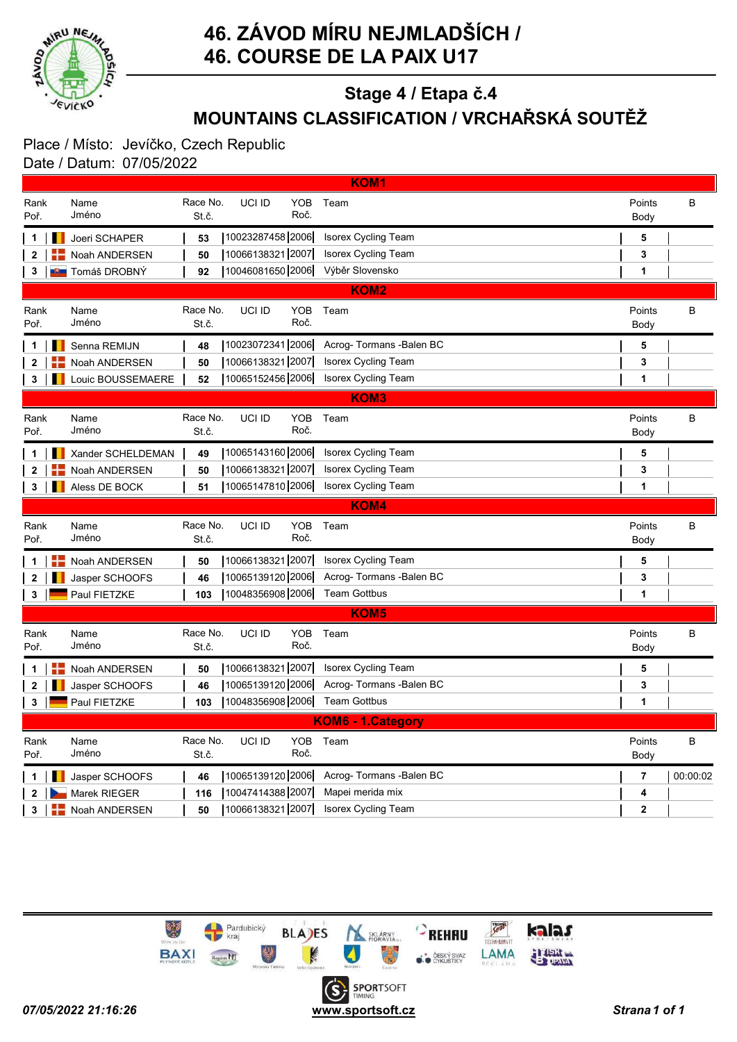

# MOUNTAINS CLASSIFICATION / VRCHAŘSKÁ SOUTĚŽ Stage 4 / Etapa č.4

#### Place / Místo: Jevíčko, Czech Republic Date / Datum: 07/05/2022

|              | <b>KOM1</b> |                       |                   |                  |                    |                            |                |          |  |  |  |
|--------------|-------------|-----------------------|-------------------|------------------|--------------------|----------------------------|----------------|----------|--|--|--|
| Rank<br>Poř. |             | Name<br>Jméno         | Race No.<br>St.č. | UCI ID           | <b>YOB</b><br>Roč. | Team                       | Points<br>Body | B        |  |  |  |
| 1            |             | Joeri SCHAPER         | 53                | 10023287458 2006 |                    | <b>Isorex Cycling Team</b> | 5              |          |  |  |  |
| 2            |             | Noah ANDERSEN         | 50                | 10066138321 2007 |                    | Isorex Cycling Team        | 3              |          |  |  |  |
| 3            |             | <b>U Tomáš DROBNÝ</b> | 92                | 10046081650 2006 |                    | Výběr Slovensko            | 1              |          |  |  |  |
|              |             |                       |                   |                  |                    | <b>KOM2</b>                |                |          |  |  |  |
| Rank<br>Poř. |             | Name<br>Jméno         | Race No.<br>St.č. | UCI ID           | <b>YOB</b><br>Roč. | Team                       | Points<br>Body | B        |  |  |  |
| 1            |             | Senna REMIJN          | 48                | 10023072341 2006 |                    | Acrog- Tormans - Balen BC  | 5              |          |  |  |  |
| $\mathbf{2}$ |             | Noah ANDERSEN         | 50                | 10066138321 2007 |                    | <b>Isorex Cycling Team</b> | 3              |          |  |  |  |
| 3            | ш           | Louic BOUSSEMAERE     | 52                | 10065152456 2006 |                    | <b>Isorex Cycling Team</b> | 1              |          |  |  |  |
|              |             |                       |                   |                  |                    | <b>KOM3</b>                |                |          |  |  |  |
| Rank<br>Poř. |             | Name<br>Jméno         | Race No.<br>St.č. | UCI ID           | <b>YOB</b><br>Roč. | Team                       | Points<br>Body | B        |  |  |  |
| 1            |             | Xander SCHELDEMAN     | 49                | 10065143160 2006 |                    | Isorex Cycling Team        | 5              |          |  |  |  |
| $\mathbf{2}$ |             | Noah ANDERSEN         | 50                | 10066138321 2007 |                    | <b>Isorex Cycling Team</b> | 3              |          |  |  |  |
| 3            |             | Aless DE BOCK         | 51                | 10065147810 2006 |                    | <b>Isorex Cycling Team</b> | 1              |          |  |  |  |
|              |             |                       |                   |                  |                    | <b>KOM4</b>                |                |          |  |  |  |
| Rank<br>Poř. |             | Name<br>Jméno         | Race No.<br>St.č. | UCI ID           | <b>YOB</b><br>Roč. | Team                       | Points<br>Body | B        |  |  |  |
| 1            | ╊           | Noah ANDERSEN         | 50                | 10066138321 2007 |                    | <b>Isorex Cycling Team</b> | 5              |          |  |  |  |
| $\mathbf{2}$ |             | Jasper SCHOOFS        | 46                | 10065139120 2006 |                    | Acrog- Tormans - Balen BC  | 3              |          |  |  |  |
| 3            |             | Paul FIETZKE          | 103               | 10048356908 2006 |                    | <b>Team Gottbus</b>        | 1              |          |  |  |  |
|              |             |                       |                   |                  |                    | <b>KOM5</b>                |                |          |  |  |  |
| Rank<br>Poř. |             | Name<br>Jméno         | Race No.<br>St.č. | UCI ID           | <b>YOB</b><br>Roč. | Team                       | Points<br>Body | B        |  |  |  |
| 1            |             | Noah ANDERSEN         | 50                | 10066138321 2007 |                    | <b>Isorex Cycling Team</b> | 5              |          |  |  |  |
| 2            |             | Jasper SCHOOFS        | 46                | 10065139120 2006 |                    | Acrog-Tormans - Balen BC   | 3              |          |  |  |  |
| 3            |             | Paul FIETZKE          | 103               | 10048356908 2006 |                    | <b>Team Gottbus</b>        | 1              |          |  |  |  |
|              |             |                       |                   |                  |                    | KOM6 - 1.Category          |                |          |  |  |  |
| Rank<br>Poř. |             | Name<br>Jméno         | Race No.<br>St.č. | UCI ID           | <b>YOB</b><br>Roč. | Team                       | Points<br>Body | В        |  |  |  |
| 1            |             | Jasper SCHOOFS        | 46                | 10065139120 2006 |                    | Acrog- Tormans - Balen BC  | $\overline{7}$ | 00:00:02 |  |  |  |
| 2            |             | Marek RIEGER          | 116               | 10047414388 2007 |                    | Mapei merida mix           | 4              |          |  |  |  |
|              |             |                       |                   |                  |                    |                            |                |          |  |  |  |
| 3            |             | Noah ANDERSEN         | 50                | 10066138321 2007 |                    | Isorex Cycling Team        | 2              |          |  |  |  |